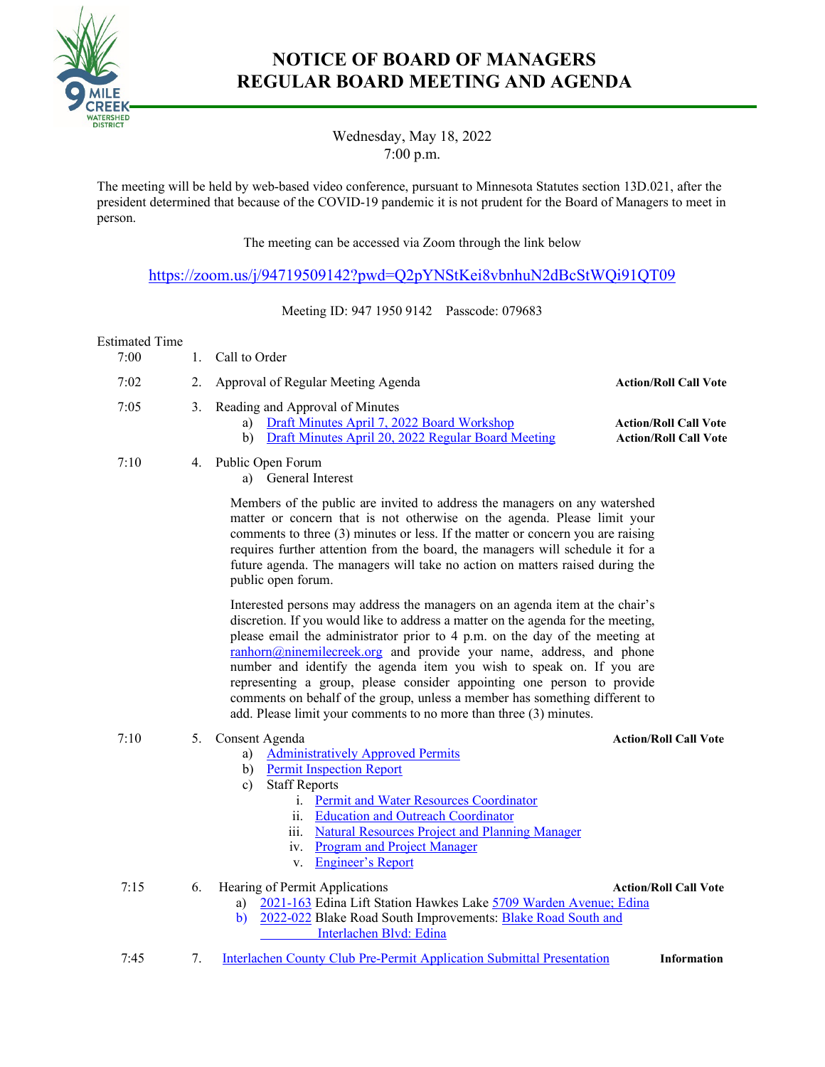

## **NOTICE OF BOARD OF MANAGERS REGULAR BOARD MEETING AND AGENDA**

Wednesday, May 18, 2022 7:00 p.m.

The meeting will be held by web-based video conference, pursuant to Minnesota Statutes section 13D.021, after the president determined that because of the COVID-19 pandemic it is not prudent for the Board of Managers to meet in person.

The meeting can be accessed via Zoom through the link below

[https://zoom.us/j/94719509142?pwd=Q2pYNStKei8vbnhuN2dBcStWQi91QT09](https://nam02.safelinks.protection.outlook.com/?url=https%3A%2F%2Fzoom.us%2Fj%2F94719509142%3Fpwd%3DQ2pYNStKei8vbnhuN2dBcStWQi91QT09&data=04%7C01%7C%7C56fbb6767bb443b9b41508d89ac8b854%7C2919a9738bd9474bab188efe78993b13%7C0%7C0%7C637429534172885097%7CUnknown%7CTWFpbGZsb3d8eyJWIjoiMC4wLjAwMDAiLCJQIjoiV2luMzIiLCJBTiI6Ik1haWwiLCJXVCI6Mn0%3D%7C1000&sdata=3gTH6NLPFLfrZtJjNlyEWRjW8p4f07vHUblZneXKdjg%3D&reserved=0)

Meeting ID: 947 1950 9142 Passcode: 079683

#### Estimated Time

- 7:00 1. Call to Order
- 7:02 2. Approval of Regular Meeting Agenda **Action/Roll Call Vote**<br>7:05 3. Reading and Approval of Minutes
- 3. Reading and Approval of Minutes
	- a) [Draft Minutes April 7, 2022 Board](https://ninemilecreekwatershed.sharepoint.com/:b:/s/NMCWSDguest/EZUhdUu8-9JHv_FoRTKUEiEBgymm1UF0QJLZrkiALloA7g?e=kUf3Fy) Workshop **Action/Roll Call Vote** 
		- b) [Draft Minutes April 20, 2022 Regular Board Meeting](https://ninemilecreekwatershed.sharepoint.com/:b:/s/NMCWSDguest/EcVoXBXZDdtBkdQtGYMEj30BBuKtj7ewfav0cWXSJ_oArw?e=RHMSiL) **Action/Roll Call Vote**

7:10 4. Public Open Forum

a) General Interest

Members of the public are invited to address the managers on any watershed matter or concern that is not otherwise on the agenda. Please limit your comments to three (3) minutes or less. If the matter or concern you are raising requires further attention from the board, the managers will schedule it for a future agenda. The managers will take no action on matters raised during the public open forum.

Interested persons may address the managers on an agenda item at the chair's discretion. If you would like to address a matter on the agenda for the meeting, please email the administrator prior to 4 p.m. on the day of the meeting at [ranhorn@ninemilecreek.org](mailto:ranhorn@ninemilecreek.org) and provide your name, address, and phone number and identify the agenda item you wish to speak on. If you are representing a group, please consider appointing one person to provide comments on behalf of the group, unless a member has something different to add. Please limit your comments to no more than three (3) minutes.

### 7:10 5. Consent Agenda **Action/Roll Call Vote**

- a) [Administratively Approved Permits](https://ninemilecreekwatershed.sharepoint.com/:b:/s/NMCWSDguest/Efea5FMqLS9CpXLLa2tJQ1IBVKKRn4MJ8wVYe9z9EWpJUQ?e=gmS9YS)
- b) [Permit Inspection Report](https://ninemilecreekwatershed.sharepoint.com/:b:/s/NMCWSDguest/EYBTSdFxkB9CoBxHAZ8HS3IBebviv1YgH9Djn4vNSlJJRA?e=Kcx4PN)
- c) Staff Reports
	- i. [Permit and Water Resources Coordinator](https://ninemilecreekwatershed.sharepoint.com/:b:/s/NMCWSDguest/EW9-eGhJIDhJpINMDLLeEk8BSY_4rKSRYakrpa5DYe0GJA?e=yXcvpU)
	- ii. [Education and Outreach Coordinator](https://ninemilecreekwatershed.sharepoint.com/:b:/s/NMCWSDguest/ES2E_FKTURtDvN-U7aNeUpQBUvz2j4PRPhAVroQsbuAvQw?e=sgtcPg)
	- iii. [Natural Resources Project and Planning Manager](https://ninemilecreekwatershed.sharepoint.com/:b:/s/NMCWSDguest/EchX5kLnydFIpZa5FCNhM0gB68hLweK8Xi0CMcMC8IqgZQ?e=0hRw1I)
	- iv. [Program and Project Manager](https://ninemilecreekwatershed.sharepoint.com/:b:/s/NMCWSDguest/Eb9mU9dnZhFLnMEVqiRUosQBfovoVALV24tpSjjS3OhSBg?e=9cxNQk)
	- v. [Engineer's Report](https://ninemilecreekwatershed.sharepoint.com/:b:/s/NMCWSDguest/EUEOLeX-WrZIvis9lA73v94BnclXzF_hRlypCFkd30zgGA?e=POai8O)

7:15 6. Hearing of Permit Applications **Action/Roll Call Vote**

- a) [2021-163](https://ninemilecreekwatershed.sharepoint.com/:b:/s/NMCWSDguest/EcMoEFnnKyVGjHX5WJDQjNoB5sRKDyiFf7coj6pgZ8KbNw?e=DrEgXP) Edina Lift Station Hawkes Lake [5709 Warden Avenue; Edina](https://www.google.com/maps/place/5709+Warden+Ave,+Minneapolis,+MN+55436/data=!4m2!3m1!1s0x87f62111fe7c50e9:0x41ddd96e6e105865?sa=X&ved=2ahUKEwitnPrAhNj3AhWScc0KHb9jCr4Q8gF6BAgVEAE)
- b) [2022-022](https://ninemilecreekwatershed.sharepoint.com/:b:/s/NMCWSDguest/ETUYkTtRIrBBrIb4uTUPE9QBJGU2eUxT6GWphOmIITZh-Q?e=nAesP4) Blake Road South Improvements: [Blake Road South and](https://www.google.com/maps/place/Blake+Rd+S,+Edina,+MN/@44.9128947,-93.3850232,17z/data=!3m1!4b1!4m5!3m4!1s0x87f621a90fa4683d:0xab7bcc3a7ad19500!8m2!3d44.9128947!4d-93.3828345) 
	- [Interlachen](https://www.google.com/maps/place/Blake+Rd+S,+Edina,+MN/@44.9128947,-93.3850232,17z/data=!3m1!4b1!4m5!3m4!1s0x87f621a90fa4683d:0xab7bcc3a7ad19500!8m2!3d44.9128947!4d-93.3828345) Blvd: Edina
- 7:45 7. Interlachen County Club [Pre-Permit Application Submittal Presentation](https://ninemilecreekwatershed.sharepoint.com/:b:/s/NMCWSDguest/ESOxlAWpNrhOjqvrFUlVz1cB2pZZwkdoTQP1Xu7vnlQjaA?e=Y1xo78) **Information**